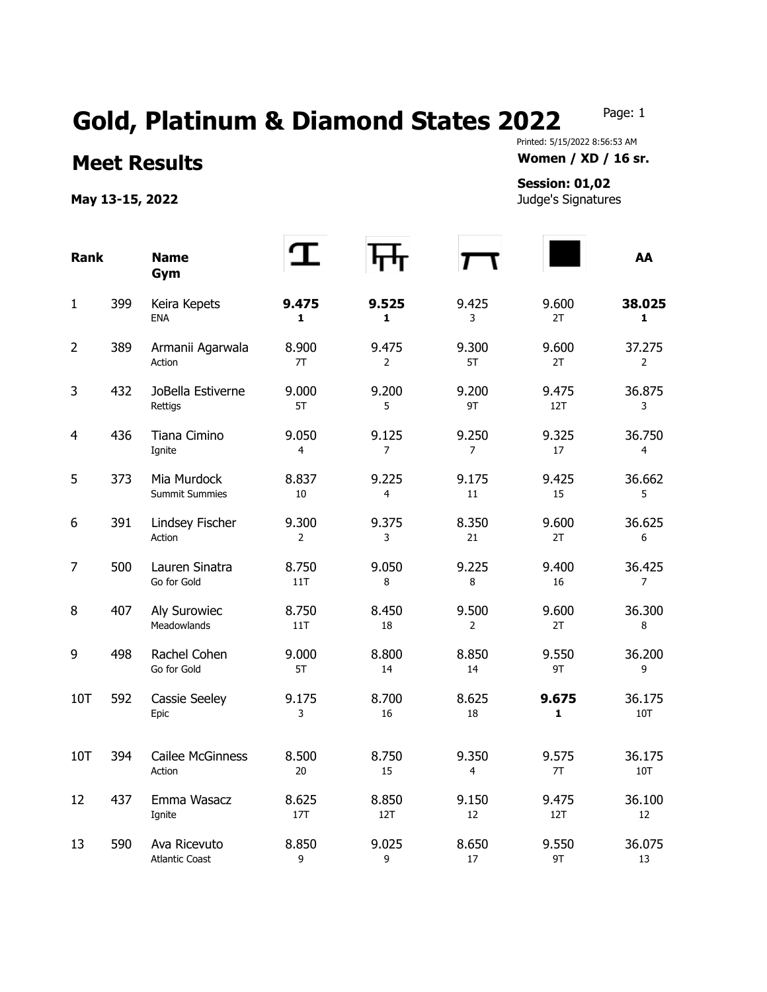## Gold, Platinum & Diamond States 2022 Page: 1

## **Meet Results Women / XD / 16 sr.**

May 13-15, 2022 **May 13-15, 2022 Judge's Signatures** 

## Printed: 5/15/2022 8:56:53 AM

## **Session: 01,02**

| <b>Rank</b>    |     | <b>Name</b><br>Gym                    |                         |                         |                         |                       | AA                       |
|----------------|-----|---------------------------------------|-------------------------|-------------------------|-------------------------|-----------------------|--------------------------|
| $\mathbf{1}$   | 399 | Keira Kepets<br><b>ENA</b>            | 9.475<br>1              | 9.525<br>1              | 9.425<br>3              | 9.600<br>2T           | 38.025<br>$\mathbf{1}$   |
| $\overline{2}$ | 389 | Armanii Agarwala<br>Action            | 8.900<br>7T             | 9.475<br>$\overline{2}$ | 9.300<br>5T             | 9.600<br>2T           | 37.275<br>$\overline{2}$ |
| 3              | 432 | JoBella Estiverne<br>Rettigs          | 9.000<br>5T             | 9.200<br>5              | 9.200<br>9T             | 9.475<br>12T          | 36.875<br>3              |
| $\overline{4}$ | 436 | Tiana Cimino<br>Ignite                | 9.050<br>4              | 9.125<br>$\overline{7}$ | 9.250<br>$\overline{7}$ | 9.325<br>17           | 36.750<br>4              |
| 5              | 373 | Mia Murdock<br><b>Summit Summies</b>  | 8.837<br>10             | 9.225<br>4              | 9.175<br>11             | 9.425<br>15           | 36.662<br>5              |
| 6              | 391 | Lindsey Fischer<br>Action             | 9.300<br>$\overline{2}$ | 9.375<br>3              | 8.350<br>21             | 9.600<br>2T           | 36.625<br>6              |
| 7              | 500 | Lauren Sinatra<br>Go for Gold         | 8.750<br>11T            | 9.050<br>8              | 9.225<br>8              | 9.400<br>16           | 36.425<br>$\overline{7}$ |
| 8              | 407 | Aly Surowiec<br>Meadowlands           | 8.750<br>11T            | 8.450<br>18             | 9.500<br>$\overline{2}$ | 9.600<br>2T           | 36.300<br>8              |
| 9              | 498 | Rachel Cohen<br>Go for Gold           | 9.000<br>5T             | 8.800<br>14             | 8.850<br>14             | 9.550<br>9T           | 36.200<br>9              |
| 10T            | 592 | Cassie Seeley<br>Epic                 | 9.175<br>3              | 8.700<br>16             | 8.625<br>18             | 9.675<br>$\mathbf{1}$ | 36.175<br>10T            |
| 10T            | 394 | Cailee McGinness<br>Action            | 8.500<br>20             | 8.750<br>15             | 9.350<br>4              | 9.575<br>7T           | 36.175<br>10T            |
| 12             | 437 | Emma Wasacz<br>Ignite                 | 8.625<br>17T            | 8.850<br>12T            | 9.150<br>12             | 9.475<br>12T          | 36.100<br>12             |
| 13             | 590 | Ava Ricevuto<br><b>Atlantic Coast</b> | 8.850<br>9              | 9.025<br>9              | 8.650<br>17             | 9.550<br>9T           | 36.075<br>13             |